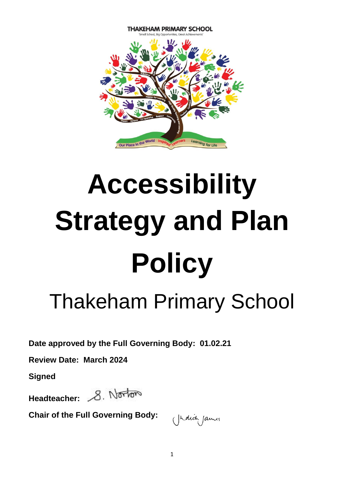

# **Accessibility Strategy and Plan Policy**

# Thakeham Primary School

**Date approved by the Full Governing Body: 01.02.21**

**Review Date: March 2024**

**Signed**

Headteacher: 8. Norton

**Chair of the Full Governing Body:** 

(hauti James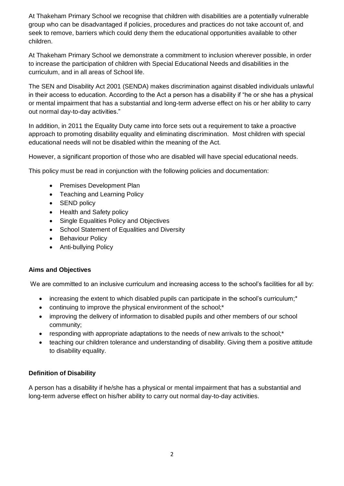At Thakeham Primary School we recognise that children with disabilities are a potentially vulnerable group who can be disadvantaged if policies, procedures and practices do not take account of, and seek to remove, barriers which could deny them the educational opportunities available to other children.

At Thakeham Primary School we demonstrate a commitment to inclusion wherever possible, in order to increase the participation of children with Special Educational Needs and disabilities in the curriculum, and in all areas of School life.

The SEN and Disability Act 2001 (SENDA) makes discrimination against disabled individuals unlawful in their access to education. According to the Act a person has a disability if "he or she has a physical or mental impairment that has a substantial and long-term adverse effect on his or her ability to carry out normal day-to-day activities."

In addition, in 2011 the Equality Duty came into force sets out a requirement to take a proactive approach to promoting disability equality and eliminating discrimination. Most children with special educational needs will not be disabled within the meaning of the Act.

However, a significant proportion of those who are disabled will have special educational needs.

This policy must be read in conjunction with the following policies and documentation:

- Premises Development Plan
- Teaching and Learning Policy
- SEND policy
- Health and Safety policy
- Single Equalities Policy and Objectives
- School Statement of Equalities and Diversity
- Behaviour Policy
- Anti-bullying Policy

# **Aims and Objectives**

We are committed to an inclusive curriculum and increasing access to the school's facilities for all by:

- increasing the extent to which disabled pupils can participate in the school's curriculum;<sup>\*</sup>
- continuing to improve the physical environment of the school;<sup>\*</sup>
- improving the delivery of information to disabled pupils and other members of our school community;
- responding with appropriate adaptations to the needs of new arrivals to the school;\*
- teaching our children tolerance and understanding of disability. Giving them a positive attitude to disability equality.

# **Definition of Disability**

A person has a disability if he/she has a physical or mental impairment that has a substantial and long-term adverse effect on his/her ability to carry out normal day-to-day activities.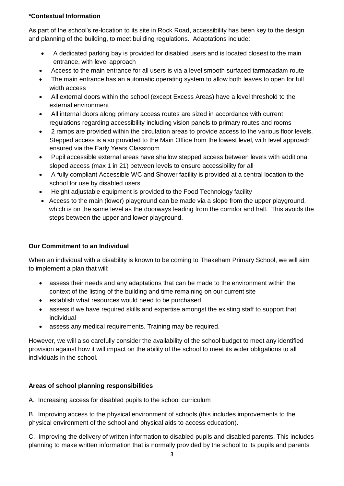# **\*Contextual Information**

As part of the school's re-location to its site in Rock Road, accessibility has been key to the design and planning of the building, to meet building regulations. Adaptations include:

- A dedicated parking bay is provided for disabled users and is located closest to the main entrance, with level approach
- Access to the main entrance for all users is via a level smooth surfaced tarmacadam route
- The main entrance has an automatic operating system to allow both leaves to open for full width access
- All external doors within the school (except Excess Areas) have a level threshold to the external environment
- All internal doors along primary access routes are sized in accordance with current regulations regarding accessibility including vision panels to primary routes and rooms
- 2 ramps are provided within the circulation areas to provide access to the various floor levels. Stepped access is also provided to the Main Office from the lowest level, with level approach ensured via the Early Years Classroom
- Pupil accessible external areas have shallow stepped access between levels with additional sloped access (max 1 in 21) between levels to ensure accessibility for all
- A fully compliant Accessible WC and Shower facility is provided at a central location to the school for use by disabled users
- Height adjustable equipment is provided to the Food Technology facility
- Access to the main (lower) playground can be made via a slope from the upper playground, which is on the same level as the doorways leading from the corridor and hall. This avoids the steps between the upper and lower playground.

# **Our Commitment to an Individual**

When an individual with a disability is known to be coming to Thakeham Primary School, we will aim to implement a plan that will:

- assess their needs and any adaptations that can be made to the environment within the context of the listing of the building and time remaining on our current site
- establish what resources would need to be purchased
- assess if we have required skills and expertise amongst the existing staff to support that individual
- assess any medical requirements. Training may be required.

However, we will also carefully consider the availability of the school budget to meet any identified provision against how it will impact on the ability of the school to meet its wider obligations to all individuals in the school.

# **Areas of school planning responsibilities**

A. Increasing access for disabled pupils to the school curriculum

B. Improving access to the physical environment of schools (this includes improvements to the physical environment of the school and physical aids to access education).

C. Improving the delivery of written information to disabled pupils and disabled parents. This includes planning to make written information that is normally provided by the school to its pupils and parents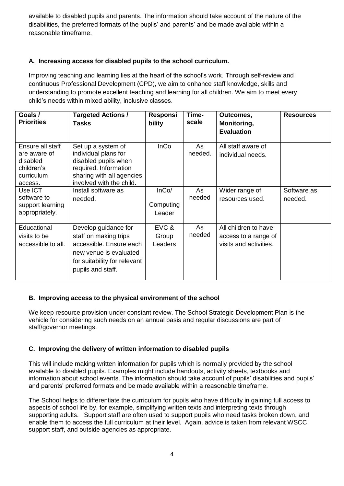available to disabled pupils and parents. The information should take account of the nature of the disabilities, the preferred formats of the pupils' and parents' and be made available within a reasonable timeframe.

# **A. Increasing access for disabled pupils to the school curriculum.**

Improving teaching and learning lies at the heart of the school's work. Through self-review and continuous Professional Development (CPD), we aim to enhance staff knowledge, skills and understanding to promote excellent teaching and learning for all children. We aim to meet every child's needs within mixed ability, inclusive classes.

| Goals /<br><b>Priorities</b>                                                        | <b>Targeted Actions /</b><br>Tasks                                                                                                                      | Responsi<br>bility           | Time-<br>scale | Outcomes,<br>Monitoring,<br><b>Evaluation</b>                          | <b>Resources</b>       |
|-------------------------------------------------------------------------------------|---------------------------------------------------------------------------------------------------------------------------------------------------------|------------------------------|----------------|------------------------------------------------------------------------|------------------------|
| Ensure all staff<br>are aware of<br>disabled<br>children's<br>curriculum<br>access. | Set up a system of<br>individual plans for<br>disabled pupils when<br>required. Information<br>sharing with all agencies<br>involved with the child.    | <b>InCo</b>                  | As<br>needed.  | All staff aware of<br>individual needs.                                |                        |
| Use ICT<br>software to<br>support learning<br>appropriately.                        | Install software as<br>needed.                                                                                                                          | InCo/<br>Computing<br>Leader | As<br>needed   | Wider range of<br>resources used.                                      | Software as<br>needed. |
| Educational<br>visits to be<br>accessible to all.                                   | Develop guidance for<br>staff on making trips<br>accessible. Ensure each<br>new venue is evaluated<br>for suitability for relevant<br>pupils and staff. | EVC &<br>Group<br>Leaders    | As<br>needed   | All children to have<br>access to a range of<br>visits and activities. |                        |

# **B. Improving access to the physical environment of the school**

We keep resource provision under constant review. The School Strategic Development Plan is the vehicle for considering such needs on an annual basis and regular discussions are part of staff/governor meetings.

# **C. Improving the delivery of written information to disabled pupils**

This will include making written information for pupils which is normally provided by the school available to disabled pupils. Examples might include handouts, activity sheets, textbooks and information about school events. The information should take account of pupils' disabilities and pupils' and parents' preferred formats and be made available within a reasonable timeframe.

The School helps to differentiate the curriculum for pupils who have difficulty in gaining full access to aspects of school life by, for example, simplifying written texts and interpreting texts through supporting adults. Support staff are often used to support pupils who need tasks broken down, and enable them to access the full curriculum at their level. Again, advice is taken from relevant WSCC support staff, and outside agencies as appropriate.